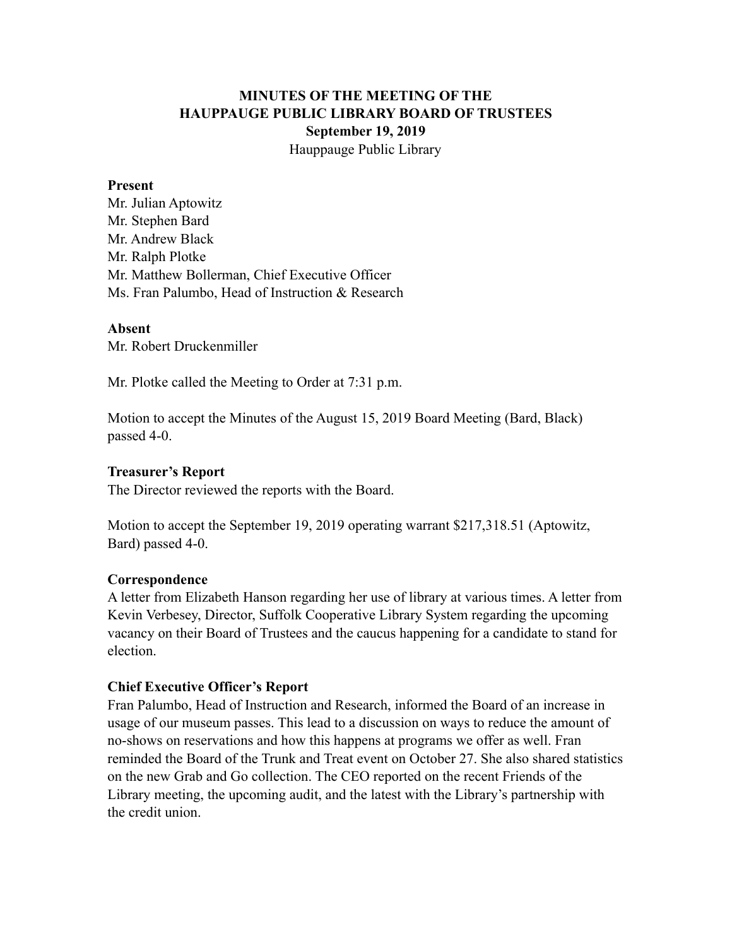# **MINUTES OF THE MEETING OF THE HAUPPAUGE PUBLIC LIBRARY BOARD OF TRUSTEES September 19, 2019** Hauppauge Public Library

#### **Present**

Mr. Julian Aptowitz Mr. Stephen Bard Mr. Andrew Black Mr. Ralph Plotke Mr. Matthew Bollerman, Chief Executive Officer Ms. Fran Palumbo, Head of Instruction & Research

### **Absent**

Mr. Robert Druckenmiller

Mr. Plotke called the Meeting to Order at 7:31 p.m.

Motion to accept the Minutes of the August 15, 2019 Board Meeting (Bard, Black) passed 4-0.

### **Treasurer's Report**

The Director reviewed the reports with the Board.

Motion to accept the September 19, 2019 operating warrant \$217,318.51 (Aptowitz, Bard) passed 4-0.

### **Correspondence**

A letter from Elizabeth Hanson regarding her use of library at various times. A letter from Kevin Verbesey, Director, Suffolk Cooperative Library System regarding the upcoming vacancy on their Board of Trustees and the caucus happening for a candidate to stand for election.

### **Chief Executive Officer's Report**

Fran Palumbo, Head of Instruction and Research, informed the Board of an increase in usage of our museum passes. This lead to a discussion on ways to reduce the amount of no-shows on reservations and how this happens at programs we offer as well. Fran reminded the Board of the Trunk and Treat event on October 27. She also shared statistics on the new Grab and Go collection. The CEO reported on the recent Friends of the Library meeting, the upcoming audit, and the latest with the Library's partnership with the credit union.